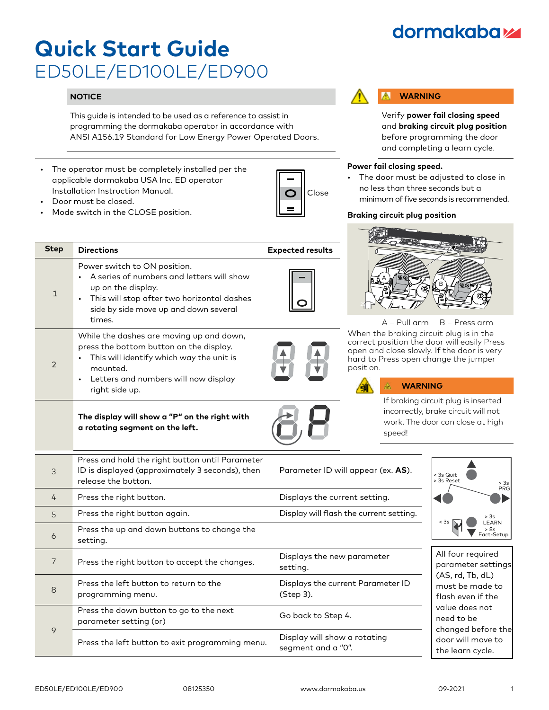## **dormakabazz**

# **Quick Start Guide** ED50LE/ED100LE/ED900

## **NOTICE**

This guide is intended to be used as a reference to assist in programming the dormakaba operator in accordance with ANSI A156.19 Standard for Low Energy Power Operated Doors.

**Step Directions Expected results** 

• A series of numbers and letters will show

While the dashes are moving up and down, press the bottom button on the display. This will identify which way the unit is

• Letters and numbers will now display

**The display will show a "P" on the right with** 

**a rotating segment on the left.**

• This will stop after two horizontal dashes side by side move up and down several

The operator must be completely installed per the applicable dormakaba USA Inc. ED operator Installation Instruction Manual.

Power switch to ON position.

up on the display.

times.

mounted.

right side up.

• Door must be closed.

1

2

Mode switch in the CLOSE position.



#### **WARNING** W

Verify **power fail closing speed** and **braking circuit plug position** before programming the door and completing a learn cycle.

### **Power fail closing speed.**

The door must be adjusted to close in no less than three seconds but a minimum of five seconds is recommended.

## **Braking circuit plug position**



A – Pull arm B – Press arm

When the braking circuit plug is in the correct position the door will easily Press open and close slowly. If the door is very hard to Press open change the jumper position.



ÆΛ

If braking circuit plug is inserted incorrectly, brake circuit will not work. The door can close at high speed!

| 3              | Press and hold the right button until Parameter<br>ID is displayed (approximately 3 seconds), then<br>release the button. | Parameter ID will appear (ex. AS).                 | < 3s Quit<br>> 3s Reset<br>> 3s<br>PRG                                                      |  |
|----------------|---------------------------------------------------------------------------------------------------------------------------|----------------------------------------------------|---------------------------------------------------------------------------------------------|--|
| 4              | Press the right button.                                                                                                   | Displays the current setting.                      |                                                                                             |  |
| $\overline{5}$ | Press the right button again.                                                                                             | Display will flash the current setting.            | > 3s<br>< 3s<br><b>EARN</b><br>> 8s  <br>Fact-Setup                                         |  |
| 6              | Press the up and down buttons to change the<br>setting.                                                                   |                                                    |                                                                                             |  |
| $\overline{7}$ | Press the right button to accept the changes.                                                                             | Displays the new parameter<br>setting.             | All four required<br>parameter settings                                                     |  |
| 8              | Press the left button to return to the<br>programming menu.                                                               | Displays the current Parameter ID<br>(Step 3).     | (AS, rd, Tb, dL)<br>must be made to<br>flash even if the                                    |  |
| 9              | Press the down button to go to the next<br>parameter setting (or)                                                         | Go back to Step 4.                                 | value does not<br>need to be<br>changed before the<br>door will move to<br>the learn cycle. |  |
|                | Press the left button to exit programming menu.                                                                           | Display will show a rotating<br>segment and a "0". |                                                                                             |  |

ED50LE/ED100LE/ED900 08125350 www.dormakaba.us 09-2021 1